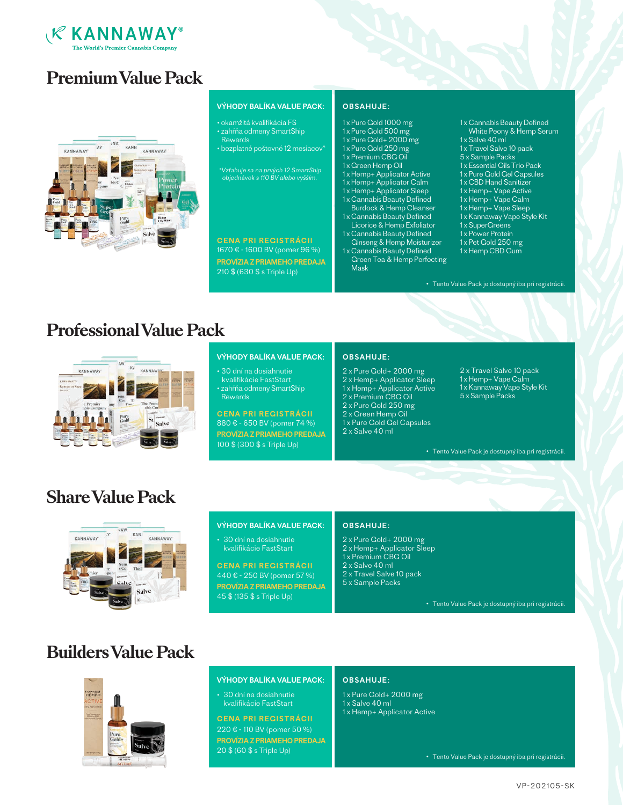

# **Premium Value Pack**



### VÝHODY BALÍKA VALUE PACK:

- okamžitá kvalifikácia FS • zahŕňa odmeny SmartShip **Rewards**
- bezplatné poštovné 12 mesiacov<sup>i</sup>

\*Vzťahuje sa na prvých 12 SmartShip objednávok s 110 BV alebo vyšším.

1670 € - 1600 BV (pomer 96 %) PROVÍZIA Z PRIAMEHO PREDAJA 210 \$ (630 \$ s Triple Up)

OBSAHUJE:

- 1 x Pure Gold 1000 mg
- 1 x Pure Gold 500 mg
- 1 x Pure Gold+ 2000 mg 1 x Pure Gold 250 mg
- 
- 1 x Premium CBG Oil 1 x Green Hemp Oil
- 1 x Hemp+ Applicator Active
- 1 x Hemp+ Applicator Calm
- 1 x Hemp+ Applicator Sleep
- 1 x Cannabis Beauty Defined
- Burdock & Hemp Cleanser 1 x Cannabis Beauty Defined
- Licorice & Hemp Exfoliator 1 x Cannabis Beauty Defined
- Ginseng & Hemp Moisturizer
- 1 x Cannabis Beauty Defined Green Tea & Hemp Perfecting Mask
- 1 x Cannabis Beauty Defined White Peony & Hemp Serum
- 1x Salve 40 ml
- 1 x Travel Salve 10 pack
- 5 x Sample Packs
- 1 x Essential Oils Trio Pack
- 1 x Pure Gold Gel Capsules
- 1 x CBD Hand Sanitizer
- 1 x Hemp+ Vape Active
- 1 x Hemp+ Vape Calm
- 1 x Hemp+ Vape Sleep 1 x Kannaway Vape Style Kit
- 1x SuperCreens
- 1 x Power Protein
- 1x Pet Gold 250 mg
- 1 x Hemp CBD Gum

• Tento Value Pack je dostupný iba pri registrácii.

# **Professional Value Pack**



### VÝHODY BALÍKA VALUE PACK:

• 30 dní na dosiahnutie kvalifikácie FastStart • zahŕňa odmeny SmartShip

Rewards

880 € - 650 BV (pomer 74 %) CENA PRI REGISTRÁCII PROVÍZIA Z PRIAMEHO PREDAJA 100 \$ (300 \$ s Triple Up)

### OBSAHUJE:

- 2 x Pure Gold+ 2000 mg
- 2 x Hemp+ Applicator Sleep
- 1 x Hemp+ Applicator Active
- 2 x Premium CBG Oil 2 x Pure Gold 250 mg
- 2 x Green Hemp Oil
- 1 x Pure Gold Gel Capsules
- 2 x Salve 40 ml
- 2 x Travel Salve 10 pack 1x Hemp+ Vape Calm 1 x Kannaway Vape Style Kit 5 x Sample Packs

• Tento Value Pack je dostupný iba pri registrácii.

# **Share Value Pack**



### VÝHODY BALÍKA VALUE PACK:

• 30 dní na dosiahnutie kvalifikácie FastStart

440 € - 250 BV (pomer 57 %) CENA PRI REGISTRÁCII PROVÍZIA Z PRIAMEHO PREDAJA 45 \$ (135 \$ s Triple Up)

### OBSAHUJE:

- 2 x Pure Gold+ 2000 mg
- 2 x Hemp+ Applicator Sleep
- 1 x Premium CBG Oil
- 2 x Salve 40 ml
- 2 x Travel Salve 10 pack
- 5 x Sample Packs

• Tento Value Pack je dostupný iba pri registrácii.

# **Builders Value Pack**



### VÝHODY BALÍKA VALUE PACK:

• 30 dní na dosiahnutie kvalifikácie FastStart

220 € - 110 BV (pomer 50 %) CENA PRI REGISTRÁCII PROVÍZIA Z PRIAMEHO PREDAJA 20 \$ (60 \$ s Triple Up)

#### OBSAHUJE:

- 1 x Pure Gold+ 2000 mg
- 1 x Salve 40 ml
- 1 x Hemp+ Applicator Active

• Tento Value Pack je dostupný iba pri registrácii.